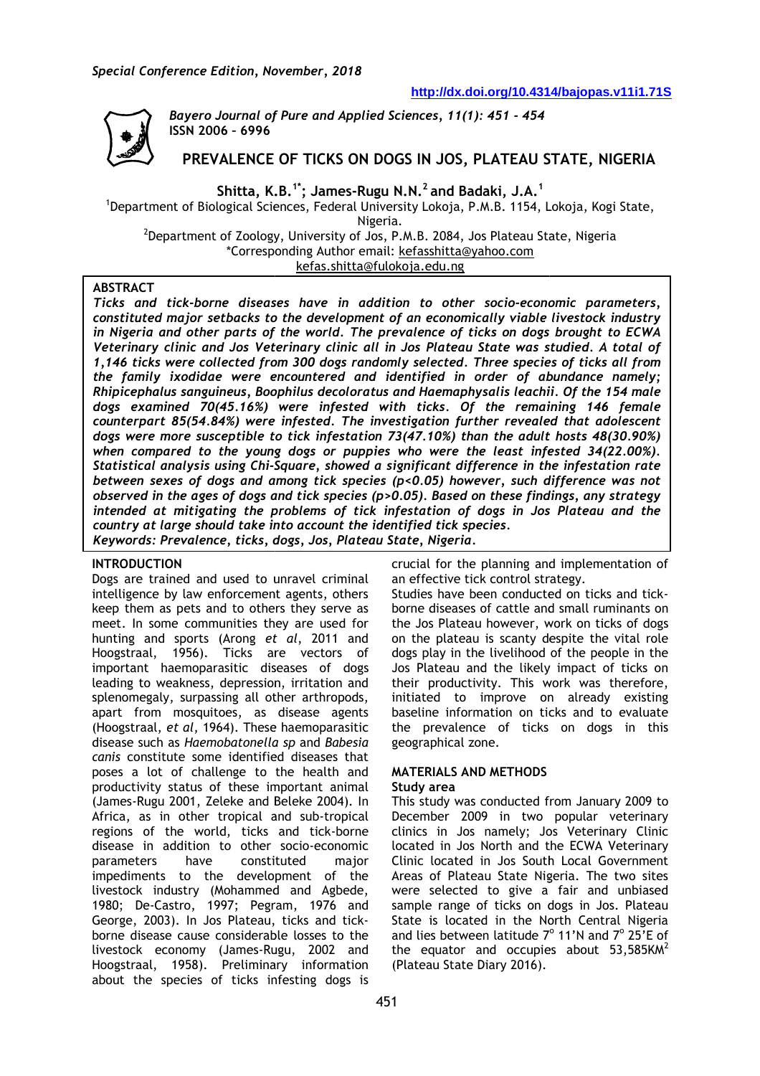

*Bayero Journal of Pure and Applied Sciences , Sciences, 11(1): 451 - 454* **ISSN 2006 – 6996**

# **PREVALENCE OF TICKS ON DOGS IN JOS, PLATEAU STATE, NIGERIA**

**Shitta, K.B. 1\*; James-Rugu N.N.<sup>2</sup>and Badaki, J.A.<sup>1</sup>**

<sup>1</sup>Department of Biological Sciences, Federal University Lokoja, P.M.B. 1154, Lokoja, Kogi State, Nigeria.

<sup>2</sup>Department of Zoology, University of Jos, P.M.B. 2084, Jos Plateau State, Nigeria \*Corresponding Author email: kefasshitta@yahoo.com kefas.shitta@fulokoja.edu.ng

## **ABSTRACT**

*Ticks and tick-borne diseases have in addition to other socio borne socio-economic parameters, constituted major setbacks to the development of an economically viable livestock industry*  in Nigeria and other parts of the world. The prevalence of ticks on dogs brought to ECWA *Veterinary clinic and Jos Veterinary clinic all in Jos Plateau State was studied. A total of 1,146 ticks were collected from 300 dogs randomly selected. Three species of ticks all from the family ixodidae were encountered and identified in order of abundance namely; Rhipicephalus sanguineus, Boophilus decoloratus and Haemaphysalis leachii. Of the 154 male dogs examined 70(45.16%) were infested with ticks. Of the remaining 146 female counterpart 85(54.84%) were infested. The investigation further reve revealed that adolescent dogs were more susceptible to tick infestation 73(47.10%) than the adult hosts 48(30.90%) when compared to the young dogs or puppies who were the least infested 34(22.00%). Statistical analysis using Chi-Square, showed a significant di Square, difference in the infestation rate between sexes of dogs and among tick species (p<0.05) however, such difference was not observed in the ages of dogs and tick species (p>0.05). Based on these findings, any strategy intended at mitigating the problems of tic tick infestation of dogs in Jos Plateau and the country at large should take into account the identified tick species. Keywords: Prevalence, ticks, dogs, Jos, Plateau State, Nigeria.*  economic parameters,<br>*able livestock industry<br>dogs brought to ECWA* investigation further revealed<br>on 73(47.10%) than the adult h<br>pies who were the least infes<br>'a significant difference in the<br>ies (p<0.05) however, such dif<sub>1</sub><br>(p>0.05). Based on these findin<br>k infestation of dogs in Jos F

### **INTRODUCTION**

Dogs are trained and used to unravel criminal intelligence by law enforcement agents, others keep them as pets and to others they serve as meet. In some communities they are used for hunting and sports (Arong *et al*, 2011 and Hoogstraal, 1956). Ticks are vectors of important haemoparasitic diseases of dogs leading to weakness, depression, irritation and splenomegaly, surpassing all other arthropods, apart from mosquitoes, as disease agents (Hoogstraal, *et al*, 1964). These disease such as *Haemobatonella aemobatonella sp* and *Babesia canis* constitute some identified diseases that poses a lot of challenge to the health and productivity status of these important animal (James-Rugu 2001, Zeleke and Beleke 2004). In Africa, as in other tropical and sub-tropical regions of the world, ticks and tick-borne disease in addition to other socio-economic parameters have constituted impediments to the development of the livestock industry (Mohammed and Agbede Agbede, 1980; De-Castro, 1997; Pegram, 1976 ; 1976 and George, 2003). In Jos Plateau, ticks and tick tickborne disease cause considerable losses to the livestock economy (James-Rugu, 2002 Rugu, 2002 and Hoogstraal, 1958). Preliminary information Hoogstraal, 1958). Preliminary information<br>about the species of ticks infesting dogs is aemoparasitic diseases of dogs<br>
reakness, depression, irritation and<br>
, surpassing all other arthropods,<br>
mosquitoes, as disease agents<br> *et al*, 1964). These haemoparasitic major

crucial for the planning and implementation of an effective tick control strategy.

Studies have been conducted on ticks and tickborne diseases of cattle and small ruminants on the Jos Plateau however, work on ticks of dogs on the plateau is scanty despite the vital role dogs play in the livelihood of the people in the Jos Plateau and the likely impact of ticks on their productivity. This work was therefore, initiated to improve on already existing baseline information on ticks and to evaluate the prevalence of ticks on dogs in this geographical zone. the prevalence of ticks on dogs in this<br>geographical\_zone.<br>**MATERIALS\_AND\_METHODS<br>Study\_area**<br>This\_study\_was\_conducted\_from\_January\_2009\_to

### **MATERIALS AND METHODS**

#### **Study area**

December 2009 in two popular veterinary clinics in Jos namely; Jos Veterinary Clinic located in Jos North and the ECWA Veterinary Clinic located in Jos South Local Government Areas of Plateau State Nigeria. The two sites were selected to give a fair and unbiased sample range of ticks on dogs in Jos. Plateau State is located in the North Central Nigeria and lies between latitude  $7^{\circ}$  11'N and  $7^{\circ}$  25'E of the equator and occupies about  $53,585$ KM<sup>2</sup> (Plateau State Diary 2016).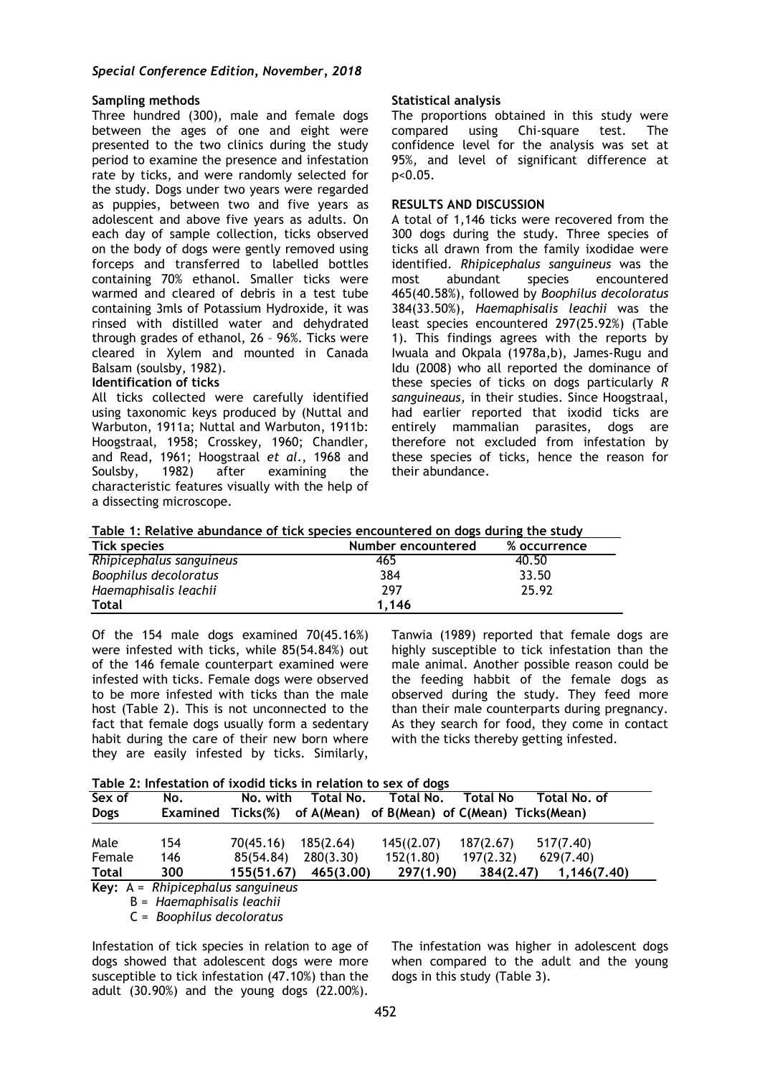## *Special Conference Edition, November, 2018*

## **Sampling methods**

Three hundred (300), male and female dogs between the ages of one and eight were presented to the two clinics during the study period to examine the presence and infestation rate by ticks, and were randomly selected for the study. Dogs under two years were regarded as puppies, between two and five years as adolescent and above five years as adults. On each day of sample collection, ticks observed on the body of dogs were gently removed using forceps and transferred to labelled bottles containing 70% ethanol. Smaller ticks were warmed and cleared of debris in a test tube containing 3mls of Potassium Hydroxide, it was rinsed with distilled water and dehydrated through grades of ethanol, 26 – 96%. Ticks were cleared in Xylem and mounted in Canada Balsam (soulsby, 1982).

### **Identification of ticks**

All ticks collected were carefully identified using taxonomic keys produced by (Nuttal and Warbuton, 1911a; Nuttal and Warbuton, 1911b: Hoogstraal, 1958; Crosskey, 1960; Chandler, and Read, 1961; Hoogstraal *et al*., 1968 and Soulsby, 1982) after examining the characteristic features visually with the help of a dissecting microscope.

## **Statistical analysis**

The proportions obtained in this study were compared using Chi-square test. The confidence level for the analysis was set at 95%, and level of significant difference at p<0.05.

## **RESULTS AND DISCUSSION**

A total of 1,146 ticks were recovered from the 300 dogs during the study. Three species of ticks all drawn from the family ixodidae were identified. *Rhipicephalus sanguineus* was the most abundant species encountered 465(40.58%), followed by *Boophilus decoloratus* 384(33.50%), *Haemaphisalis leachii* was the least species encountered 297(25.92%) (Table 1). This findings agrees with the reports by Iwuala and Okpala (1978a,b), James-Rugu and Idu (2008) who all reported the dominance of these species of ticks on dogs particularly *R sanguineaus,* in their studies. Since Hoogstraal, had earlier reported that ixodid ticks are entirely mammalian parasites, dogs are therefore not excluded from infestation by these species of ticks, hence the reason for their abundance.

| Table 1: Relative abundance of tick species encountered on dogs during the study |                                 |  |
|----------------------------------------------------------------------------------|---------------------------------|--|
| Tick snacias                                                                     | Number encountered % occurrence |  |

| Tick species             | Number encountered | % occurrence |
|--------------------------|--------------------|--------------|
| Rhipicephalus sanguineus | 465                | 40.50        |
| Boophilus decoloratus    | 384                | 33.50        |
| Haemaphisalis leachii    | 297                | 25.92        |
| <b>Total</b>             | 1.146              |              |

Of the 154 male dogs examined 70(45.16%) were infested with ticks, while 85(54.84%) out of the 146 female counterpart examined were infested with ticks. Female dogs were observed to be more infested with ticks than the male host (Table 2). This is not unconnected to the fact that female dogs usually form a sedentary habit during the care of their new born where they are easily infested by ticks. Similarly,

Tanwia (1989) reported that female dogs are highly susceptible to tick infestation than the male animal. Another possible reason could be the feeding habbit of the female dogs as observed during the study. They feed more than their male counterparts during pregnancy. As they search for food, they come in contact with the ticks thereby getting infested.

**Table 2: Infestation of ixodid ticks in relation to sex of dogs**

| Sex of       | No.                      | No. with   | Total No. | Total No.                                    | <b>Total No</b> | Total No. of |
|--------------|--------------------------|------------|-----------|----------------------------------------------|-----------------|--------------|
| <b>Dogs</b>  | <b>Examined Ticks(%)</b> |            |           | of A(Mean) of B(Mean) of C(Mean) Ticks(Mean) |                 |              |
| Male         | 154                      | 70(45.16)  | 185(2.64) | 145( (2.07)                                  | 187(2.67)       | 517(7.40)    |
| Female       | 146                      | 85(54.84)  | 280(3.30) | 152(1.80)                                    | 197(2.32)       | 629(7.40)    |
| <b>Total</b> | 300                      | 155(51.67) | 465(3.00) | 297(1.90)                                    | 384(2.47)       | 1.146(7.40)  |

B = *Haemaphisalis leachii*

C = *Boophilus decoloratus*

Infestation of tick species in relation to age of dogs showed that adolescent dogs were more susceptible to tick infestation (47.10%) than the adult (30.90%) and the young dogs (22.00%).

The infestation was higher in adolescent dogs when compared to the adult and the young dogs in this study (Table 3).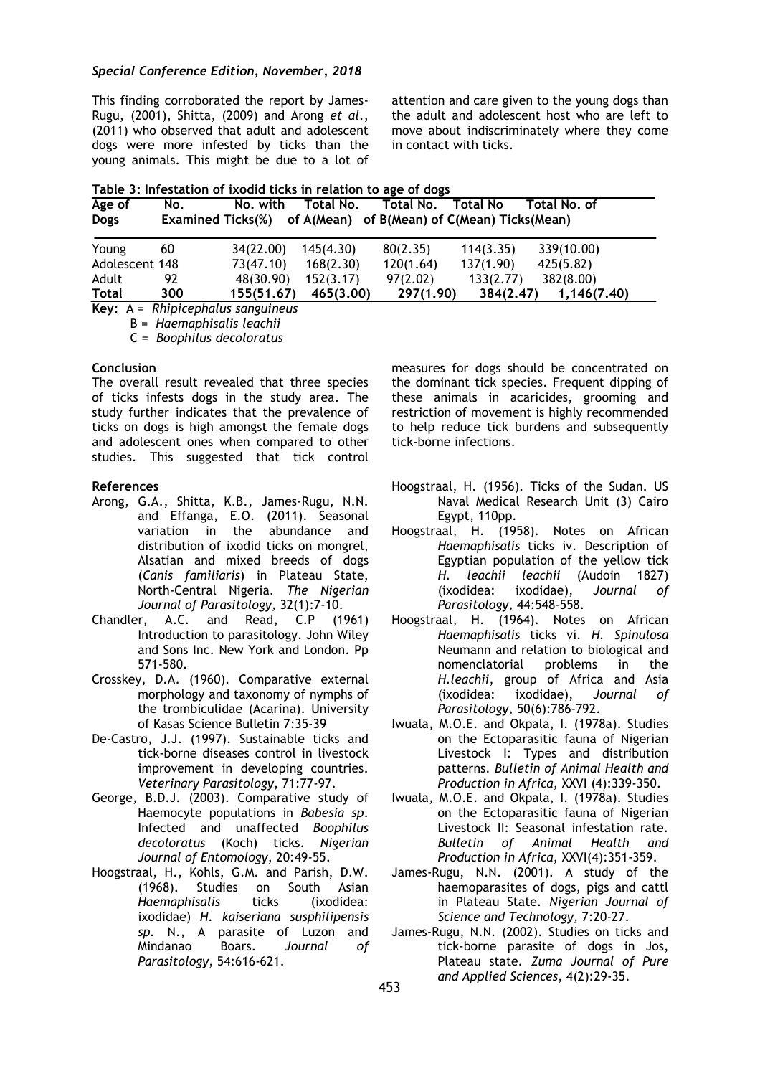### *Special Conference Edition, November, 2018*

This finding corroborated the report by James-Rugu, (2001), Shitta, (2009) and Arong *et al*., (2011) who observed that adult and adolescent dogs were more infested by ticks than the young animals. This might be due to a lot of

attention and care given to the young dogs than the adult and adolescent host who are left to move about indiscriminately where they come in contact with ticks.

| Age of         | No.                                                            | No. with   | Total No. | Total No. | Total No  | Total No. of |
|----------------|----------------------------------------------------------------|------------|-----------|-----------|-----------|--------------|
| <b>Dogs</b>    | Examined Ticks(%) of A(Mean) of B(Mean) of C(Mean) Ticks(Mean) |            |           |           |           |              |
| Young          | 60                                                             | 34(22.00)  | 145(4.30) | 80(2.35)  | 114(3.35) | 339(10.00)   |
| Adolescent 148 |                                                                | 73(47.10)  | 168(2.30) | 120(1.64) | 137(1.90) | 425(5.82)    |
| Adult          | 92                                                             | 48(30.90)  | 152(3.17) | 97(2.02)  | 133(2.77) | 382(8.00)    |
| <b>Total</b>   | 300                                                            | 155(51.67) | 465(3.00) | 297(1.90) | 384(2.47) | 1,146(7.40)  |

**Key:** A = *Rhipicephalus sanguineus* B = *Haemaphisalis leachii*

C = *Boophilus decoloratus*

### **Conclusion**

The overall result revealed that three species of ticks infests dogs in the study area. The study further indicates that the prevalence of ticks on dogs is high amongst the female dogs and adolescent ones when compared to other studies. This suggested that tick control

### **References**

- Arong, G.A., Shitta, K.B., James-Rugu, N.N. and Effanga, E.O. (2011). Seasonal variation in the abundance and distribution of ixodid ticks on mongrel, Alsatian and mixed breeds of dogs (*Canis familiaris*) in Plateau State, North-Central Nigeria. *The Nigerian Journal of Parasitology*, 32(1):7-10.
- Chandler, A.C. and Read, C.P (1961) Introduction to parasitology. John Wiley and Sons Inc. New York and London. Pp 571-580.
- Crosskey, D.A. (1960). Comparative external morphology and taxonomy of nymphs of the trombiculidae (Acarina). University of Kasas Science Bulletin 7:35-39
- De-Castro, J.J. (1997). Sustainable ticks and tick-borne diseases control in livestock improvement in developing countries. *Veterinary Parasitology*, 71:77-97.
- George, B.D.J. (2003). Comparative study of Haemocyte populations in *Babesia sp*. Infected and unaffected *Boophilus decoloratus* (Koch) ticks. *Nigerian Journal of Entomology*, 20:49-55.
- Hoogstraal, H., Kohls, G.M. and Parish, D.W. (1968). Studies on South Asian<br>Haemaphisalis ticks (ixodidea: *Haemaphisalis* ticks (ixodidea: ixodidae) *H. kaiseriana susphilipensis sp.* N., A parasite of Luzon and Mindanao Boars. *Journal of Parasitology*, 54:616-621.

measures for dogs should be concentrated on the dominant tick species. Frequent dipping of these animals in acaricides, grooming and restriction of movement is highly recommended to help reduce tick burdens and subsequently tick-borne infections.

- Hoogstraal, H. (1956). Ticks of the Sudan. US Naval Medical Research Unit (3) Cairo Egypt, 110pp.
- Hoogstraal, H. (1958). Notes on African *Haemaphisalis* ticks iv. Description of Egyptian population of the yellow tick *H. leachii leachii* (Audoin 1827) (ixodidea: ixodidae), *Journal of Parasitology*, 44:548-558.
- Hoogstraal, H. (1964). Notes on African *Haemaphisalis* ticks vi. *H. Spinulosa* Neumann and relation to biological and nomenclatorial problems in the *H.leachii*, group of Africa and Asia (ixodidea: ixodidae), *Journal of Parasitology*, 50(6):786-792.
- Iwuala, M.O.E. and Okpala, I. (1978a). Studies on the Ectoparasitic fauna of Nigerian Livestock I: Types and distribution patterns. *Bulletin of Animal Health and Production in Africa*, XXVI (4):339-350.
- Iwuala, M.O.E. and Okpala, I. (1978a). Studies on the Ectoparasitic fauna of Nigerian Livestock II: Seasonal infestation rate. *Bulletin of Animal Health and Production in Africa*, XXVI(4):351-359.
- James-Rugu, N.N. (2001). A study of the haemoparasites of dogs, pigs and cattl in Plateau State. *Nigerian Journal of Science and Technology*, 7:20-27.
- James-Rugu, N.N. (2002). Studies on ticks and tick-borne parasite of dogs in Jos, Plateau state. *Zuma Journal of Pure and Applied Sciences*, 4(2):29-35.

453